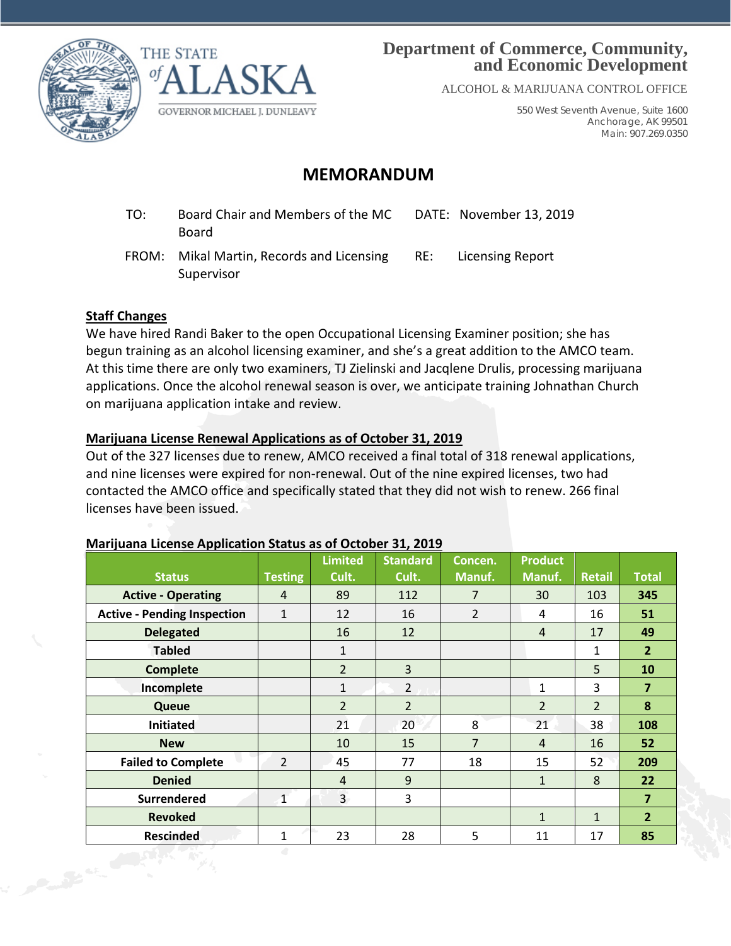



## **Department of Commerce, Community, and Economic Development**

ALCOHOL & MARIJUANA CONTROL OFFICE

550 West Seventh Avenue, Suite 1600 Anchorage, AK 99501 Main: 907.269.0350

# **MEMORANDUM**

- TO: Board Chair and Members of the MC Board DATE: November 13, 2019
- FROM: Mikal Martin, Records and Licensing Supervisor RE: Licensing Report

### **Staff Changes**

We have hired Randi Baker to the open Occupational Licensing Examiner position; she has begun training as an alcohol licensing examiner, and she's a great addition to the AMCO team. At this time there are only two examiners, TJ Zielinski and Jacqlene Drulis, processing marijuana applications. Once the alcohol renewal season is over, we anticipate training Johnathan Church on marijuana application intake and review.

### **Marijuana License Renewal Applications as of October 31, 2019**

Out of the 327 licenses due to renew, AMCO received a final total of 318 renewal applications, and nine licenses were expired for non-renewal. Out of the nine expired licenses, two had contacted the AMCO office and specifically stated that they did not wish to renew. 266 final licenses have been issued.

### **Marijuana License Application Status as of October 31, 2019**

| <b>Status</b>                      | <b>Testing</b> | <b>Limited</b><br>Cult. | <b>Standard</b><br>Cult. | Concen.<br>Manuf. | <b>Product</b><br>Manuf. | <b>Retail</b>  | <b>Total</b>   |
|------------------------------------|----------------|-------------------------|--------------------------|-------------------|--------------------------|----------------|----------------|
| <b>Active - Operating</b>          | $\overline{4}$ | 89                      | 112                      | $\overline{7}$    | 30                       | 103            | 345            |
| <b>Active - Pending Inspection</b> | $\mathbf{1}$   | 12                      | 16                       | $\overline{2}$    | 4                        | 16             | 51             |
| <b>Delegated</b>                   |                | 16                      | 12                       |                   | $\overline{4}$           | 17             | 49             |
| <b>Tabled</b>                      |                | $\mathbf 1$             |                          |                   |                          | 1              | 2 <sup>1</sup> |
| <b>Complete</b>                    |                | $\overline{2}$          | 3                        |                   |                          | 5              | 10             |
| Incomplete                         |                | $\mathbf{1}$            | $\overline{2}$           |                   | 1                        | 3              | $\overline{7}$ |
| Queue                              |                | $\overline{2}$          | $\overline{2}$           |                   | $\overline{2}$           | $\overline{2}$ | 8              |
| <b>Initiated</b>                   |                | 21                      | 20                       | 8                 | 21                       | 38             | 108            |
| <b>New</b>                         |                | 10                      | 15                       | $\overline{7}$    | $\overline{4}$           | 16             | 52             |
| <b>Failed to Complete</b>          | $\overline{2}$ | 45                      | 77                       | 18                | 15                       | 52             | 209            |
| <b>Denied</b>                      |                | $\overline{4}$          | 9                        |                   | $\mathbf{1}$             | 8              | 22             |
| <b>Surrendered</b>                 | $\mathbf{1}$   | $\overline{3}$          | 3                        |                   |                          |                | $\overline{7}$ |
| <b>Revoked</b>                     |                |                         |                          |                   | $\mathbf{1}$             | 1              | $\overline{2}$ |
| <b>Rescinded</b>                   | $\mathbf{1}$   | 23                      | 28                       | 5                 | 11                       | 17             | 85             |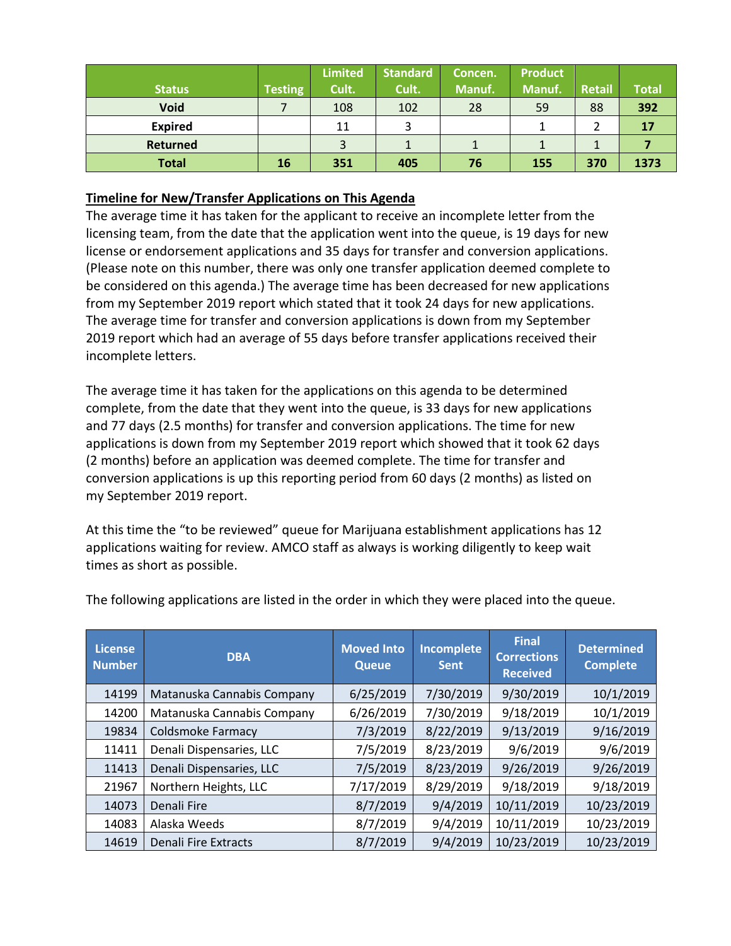|                |                | <b>Limited</b> | <b>Standard</b> | Concen. | <b>Product</b> |        |              |
|----------------|----------------|----------------|-----------------|---------|----------------|--------|--------------|
| <b>Status</b>  | <b>Testing</b> | Cult.          | Cult.           | Manuf.  | Manuf.         | Retail | <b>Total</b> |
| <b>Void</b>    |                | 108            | 102             | 28      | 59             | 88     | 392          |
| <b>Expired</b> |                | 11             | っ               |         |                |        | 17           |
| Returned       |                | 3              |                 |         |                |        |              |
| <b>Total</b>   | 16             | 351            | 405             | 76      | 155            | 370    | 1373         |

#### **Timeline for New/Transfer Applications on This Agenda**

The average time it has taken for the applicant to receive an incomplete letter from the licensing team, from the date that the application went into the queue, is 19 days for new license or endorsement applications and 35 days for transfer and conversion applications. (Please note on this number, there was only one transfer application deemed complete to be considered on this agenda.) The average time has been decreased for new applications from my September 2019 report which stated that it took 24 days for new applications. The average time for transfer and conversion applications is down from my September 2019 report which had an average of 55 days before transfer applications received their incomplete letters.

The average time it has taken for the applications on this agenda to be determined complete, from the date that they went into the queue, is 33 days for new applications and 77 days (2.5 months) for transfer and conversion applications. The time for new applications is down from my September 2019 report which showed that it took 62 days (2 months) before an application was deemed complete. The time for transfer and conversion applications is up this reporting period from 60 days (2 months) as listed on my September 2019 report.

At this time the "to be reviewed" queue for Marijuana establishment applications has 12 applications waiting for review. AMCO staff as always is working diligently to keep wait times as short as possible.

| <b>License</b><br><b>Number</b> | <b>DBA</b>                  | <b>Moved Into</b><br><b>Queue</b> | <b>Incomplete</b><br><b>Sent</b> | <b>Final</b><br><b>Corrections</b><br><b>Received</b> | <b>Determined</b><br><b>Complete</b> |
|---------------------------------|-----------------------------|-----------------------------------|----------------------------------|-------------------------------------------------------|--------------------------------------|
| 14199                           | Matanuska Cannabis Company  | 6/25/2019                         | 7/30/2019                        | 9/30/2019                                             | 10/1/2019                            |
| 14200                           | Matanuska Cannabis Company  | 6/26/2019                         | 7/30/2019                        | 9/18/2019                                             | 10/1/2019                            |
| 19834                           | Coldsmoke Farmacy           | 7/3/2019                          | 8/22/2019                        | 9/13/2019                                             | 9/16/2019                            |
| 11411                           | Denali Dispensaries, LLC    | 7/5/2019                          | 8/23/2019                        | 9/6/2019                                              | 9/6/2019                             |
| 11413                           | Denali Dispensaries, LLC    | 7/5/2019                          | 8/23/2019                        | 9/26/2019                                             | 9/26/2019                            |
| 21967                           | Northern Heights, LLC       | 7/17/2019                         | 8/29/2019                        | 9/18/2019                                             | 9/18/2019                            |
| 14073                           | Denali Fire                 | 8/7/2019                          | 9/4/2019                         | 10/11/2019                                            | 10/23/2019                           |
| 14083                           | Alaska Weeds                | 8/7/2019                          | 9/4/2019                         | 10/11/2019                                            | 10/23/2019                           |
| 14619                           | <b>Denali Fire Extracts</b> | 8/7/2019                          | 9/4/2019                         | 10/23/2019                                            | 10/23/2019                           |

The following applications are listed in the order in which they were placed into the queue.